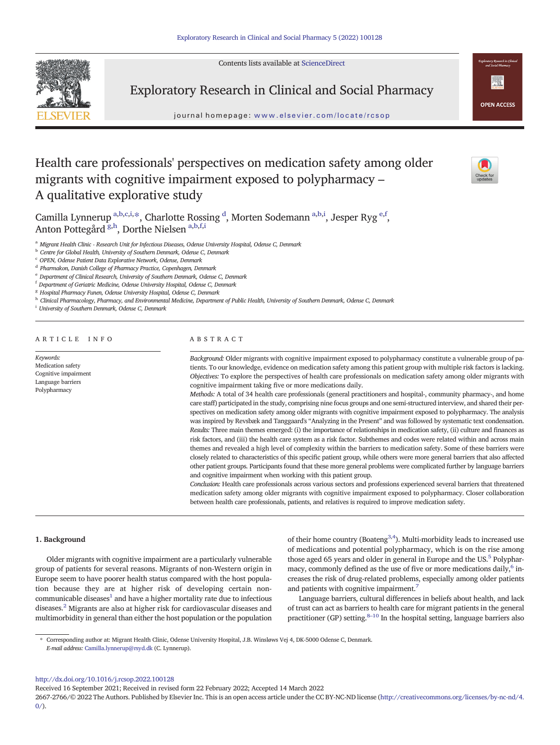Contents lists available at [ScienceDirect](http://www.sciencedirect.com/science/journal/)



Exploratory Research in Clinical and Social Pharmacy

journal homepage: <www.elsevier.com/locate/rcsop>



# Health care professionals' perspectives on medication safety among older migrants with cognitive impairment exposed to polypharmacy – A qualitative explorative study



Camilla Lynnerup <sup>a,b,c,i,\*</sup>, Charlotte Rossing <sup>d</sup>, Morten Sodemann <sup>a,b,i</sup>, Jesper Ryg <sup>e,f</sup>, Anton Pottegård <sup>g,h</sup>, Dorthe Nielsen <sup>a,b,f,i</sup>

<sup>a</sup> Migrant Health Clinic - Research Unit for Infectious Diseases, Odense University Hospital, Odense C, Denmark

**b** Centre for Global Health, University of Southern Denmark, Odense C, Denmark

<sup>c</sup> OPEN, Odense Patient Data Explorative Network, Odense, Denmark

<sup>d</sup> Pharmakon, Danish College of Pharmacy Practice, Copenhagen, Denmark

<sup>e</sup> Department of Clinical Research, University of Southern Denmark, Odense C, Denmark

<sup>f</sup> Department of Geriatric Medicine, Odense University Hospital, Odense C, Denmark

<sup>8</sup> Hospital Pharmacy Funen, Odense University Hospital, Odense C, Denmark

h Clinical Pharmacology, Pharmacy, and Environmental Medicine, Department of Public Health, University of Southern Denmark, Odense C, Denmark

<sup>i</sup> University of Southern Denmark, Odense C, Denmark

ARTICLE INFO ABSTRACT

Keywords: Medication safety Cognitive impairment Language barriers Polypharmacy

Background: Older migrants with cognitive impairment exposed to polypharmacy constitute a vulnerable group of patients. To our knowledge, evidence on medication safety among this patient group with multiple risk factors is lacking. Objectives: To explore the perspectives of health care professionals on medication safety among older migrants with cognitive impairment taking five or more medications daily.

Methods: A total of 34 health care professionals (general practitioners and hospital-, community pharmacy-, and home care staff) participated in the study, comprising nine focus groups and one semi-structured interview, and shared their perspectives on medication safety among older migrants with cognitive impairment exposed to polypharmacy. The analysis was inspired by Revsbæk and Tanggaard's "Analyzing in the Present" and was followed by systematic text condensation. Results: Three main themes emerged: (i) the importance of relationships in medication safety, (ii) culture and finances as risk factors, and (iii) the health care system as a risk factor. Subthemes and codes were related within and across main themes and revealed a high level of complexity within the barriers to medication safety. Some of these barriers were closely related to characteristics of this specific patient group, while others were more general barriers that also affected other patient groups. Participants found that these more general problems were complicated further by language barriers and cognitive impairment when working with this patient group.

Conclusion: Health care professionals across various sectors and professions experienced several barriers that threatened medication safety among older migrants with cognitive impairment exposed to polypharmacy. Closer collaboration between health care professionals, patients, and relatives is required to improve medication safety.

# 1. Background

Older migrants with cognitive impairment are a particularly vulnerable group of patients for several reasons. Migrants of non-Western origin in Europe seem to have poorer health status compared with the host population because they are at higher risk of developing certain noncommunicable diseases $<sup>1</sup>$  $<sup>1</sup>$  $<sup>1</sup>$  and have a higher mortality rate due to infectious</sup> diseases[.2](#page-8-0) Migrants are also at higher risk for cardiovascular diseases and multimorbidity in general than either the host population or the population

of their home country (Boateng<sup>[3,4](#page-8-0)</sup>). Multi-morbidity leads to increased use of medications and potential polypharmacy, which is on the rise among those aged 65 years and older in general in Europe and the US.<sup>5</sup> Polypharmacy, commonly defined as the use of five or more medications daily,<sup>6</sup> increases the risk of drug-related problems, especially among older patients and patients with cognitive impairment[.7](#page-8-0)

Language barriers, cultural differences in beliefs about health, and lack of trust can act as barriers to health care for migrant patients in the general practitioner (GP) setting. $8-10$  $8-10$  In the hospital setting, language barriers also

⁎ Corresponding author at: Migrant Health Clinic, Odense University Hospital, J.B. Winsløws Vej 4, DK-5000 Odense C, Denmark. E-mail address: <Camilla.lynnerup@rsyd.dk> (C. Lynnerup).

<http://dx.doi.org/10.1016/j.rcsop.2022.100128>

Received 16 September 2021; Received in revised form 22 February 2022; Accepted 14 March 2022

2667-2766/© 2022 The Authors. Published by Elsevier Inc. This is an open access article under the CC BY-NC-ND license ([http://creativecommons.org/licenses/by-nc-nd/4.](http://creativecommons.org/licenses/by-nc-nd/4.0/)  $0/$ ).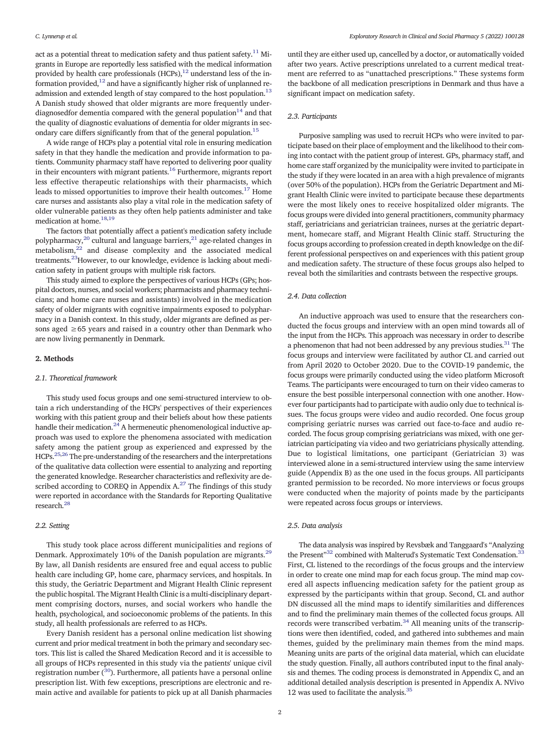act as a potential threat to medication safety and thus patient safety.<sup>11</sup> Migrants in Europe are reportedly less satisfied with the medical information provided by health care professionals  $(HCPs)$ ,<sup>12</sup> understand less of the information provided, $12$  and have a significantly higher risk of unplanned re-admission and extended length of stay compared to the host population.<sup>[13](#page-8-0)</sup> A Danish study showed that older migrants are more frequently under-diagnosedfor dementia compared with the general population<sup>[14](#page-8-0)</sup> and that the quality of diagnostic evaluations of dementia for older migrants in sec-ondary care differs significantly from that of the general population.<sup>[15](#page-8-0)</sup>

A wide range of HCPs play a potential vital role in ensuring medication safety in that they handle the medication and provide information to patients. Community pharmacy staff have reported to delivering poor quality in their encounters with migrant patients. $16$  Furthermore, migrants report less effective therapeutic relationships with their pharmacists, which leads to missed opportunities to improve their health outcomes.<sup>17</sup> Home care nurses and assistants also play a vital role in the medication safety of older vulnerable patients as they often help patients administer and take medication at home.<sup>18,19</sup>

The factors that potentially affect a patient's medication safety include polypharmacy, $^{20}$  $^{20}$  $^{20}$  cultural and language barriers, $^{21}$  age-related changes in metabolism, $22$  and disease complexity and the associated medical treatments.[23](#page-8-0)However, to our knowledge, evidence is lacking about medication safety in patient groups with multiple risk factors.

This study aimed to explore the perspectives of various HCPs (GPs; hospital doctors, nurses, and social workers; pharmacists and pharmacy technicians; and home care nurses and assistants) involved in the medication safety of older migrants with cognitive impairments exposed to polypharmacy in a Danish context. In this study, older migrants are defined as persons aged  $\geq 65$  years and raised in a country other than Denmark who are now living permanently in Denmark.

# 2. Methods

# 2.1. Theoretical framework

This study used focus groups and one semi-structured interview to obtain a rich understanding of the HCPs' perspectives of their experiences working with this patient group and their beliefs about how these patients handle their medication.<sup>[24](#page-8-0)</sup> A hermeneutic phenomenological inductive approach was used to explore the phenomena associated with medication safety among the patient group as experienced and expressed by the HCPs.[25](#page-8-0),[26](#page-8-0) The pre-understanding of the researchers and the interpretations of the qualitative data collection were essential to analyzing and reporting the generated knowledge. Researcher characteristics and reflexivity are de-scribed according to COREQ in Appendix A.<sup>[27](#page-8-0)</sup> The findings of this study were reported in accordance with the Standards for Reporting Qualitative research.<sup>28</sup>

### 2.2. Setting

This study took place across different municipalities and regions of Denmark. Approximately 10% of the Danish population are migrants.<sup>[29](#page-8-0)</sup> By law, all Danish residents are ensured free and equal access to public health care including GP, home care, pharmacy services, and hospitals. In this study, the Geriatric Department and Migrant Health Clinic represent the public hospital. The Migrant Health Clinic is a multi-disciplinary department comprising doctors, nurses, and social workers who handle the health, psychological, and socioeconomic problems of the patients. In this study, all health professionals are referred to as HCPs.

Every Danish resident has a personal online medication list showing current and prior medical treatment in both the primary and secondary sectors. This list is called the Shared Medication Record and it is accessible to all groups of HCPs represented in this study via the patients' unique civil registration number  $(30)$  $(30)$  $(30)$ . Furthermore, all patients have a personal online prescription list. With few exceptions, prescriptions are electronic and remain active and available for patients to pick up at all Danish pharmacies

until they are either used up, cancelled by a doctor, or automatically voided after two years. Active prescriptions unrelated to a current medical treatment are referred to as "unattached prescriptions." These systems form the backbone of all medication prescriptions in Denmark and thus have a significant impact on medication safety.

# 2.3. Participants

Purposive sampling was used to recruit HCPs who were invited to participate based on their place of employment and the likelihood to their coming into contact with the patient group of interest. GPs, pharmacy staff, and home care staff organized by the municipality were invited to participate in the study if they were located in an area with a high prevalence of migrants (over 50% of the population). HCPs from the Geriatric Department and Migrant Health Clinic were invited to participate because these departments were the most likely ones to receive hospitalized older migrants. The focus groups were divided into general practitioners, community pharmacy staff, geriatricians and geriatrician trainees, nurses at the geriatric department, homecare staff, and Migrant Health Clinic staff. Structuring the focus groups according to profession created in depth knowledge on the different professional perspectives on and experiences with this patient group and medication safety. The structure of these focus groups also helped to reveal both the similarities and contrasts between the respective groups.

# 2.4. Data collection

An inductive approach was used to ensure that the researchers conducted the focus groups and interview with an open mind towards all of the input from the HCPs. This approach was necessary in order to describe a phenomenon that had not been addressed by any previous studies.<sup>31</sup> The focus groups and interview were facilitated by author CL and carried out from April 2020 to October 2020. Due to the COVID-19 pandemic, the focus groups were primarily conducted using the video platform Microsoft Teams. The participants were encouraged to turn on their video cameras to ensure the best possible interpersonal connection with one another. However four participants had to participate with audio only due to technical issues. The focus groups were video and audio recorded. One focus group comprising geriatric nurses was carried out face-to-face and audio recorded. The focus group comprising geriatricians was mixed, with one geriatrician participating via video and two geriatricians physically attending. Due to logistical limitations, one participant (Geriatrician 3) was interviewed alone in a semi-structured interview using the same interview guide (Appendix B) as the one used in the focus groups. All participants granted permission to be recorded. No more interviews or focus groups were conducted when the majority of points made by the participants were repeated across focus groups or interviews.

#### 2.5. Data analysis

The data analysis was inspired by Revsbæk and Tanggaard's "Analyzing the Present"<sup>[32](#page-8-0)</sup> combined with Malterud's Systematic Text Condensation.<sup>33</sup> First, CL listened to the recordings of the focus groups and the interview in order to create one mind map for each focus group. The mind map covered all aspects influencing medication safety for the patient group as expressed by the participants within that group. Second, CL and author DN discussed all the mind maps to identify similarities and differences and to find the preliminary main themes of the collected focus groups. All records were transcribed verbatim. $34$  All meaning units of the transcriptions were then identified, coded, and gathered into subthemes and main themes, guided by the preliminary main themes from the mind maps. Meaning units are parts of the original data material, which can elucidate the study question. Finally, all authors contributed input to the final analysis and themes. The coding process is demonstrated in Appendix C, and an additional detailed analysis description is presented in Appendix A. NVivo 12 was used to facilitate the analysis.<sup>35</sup>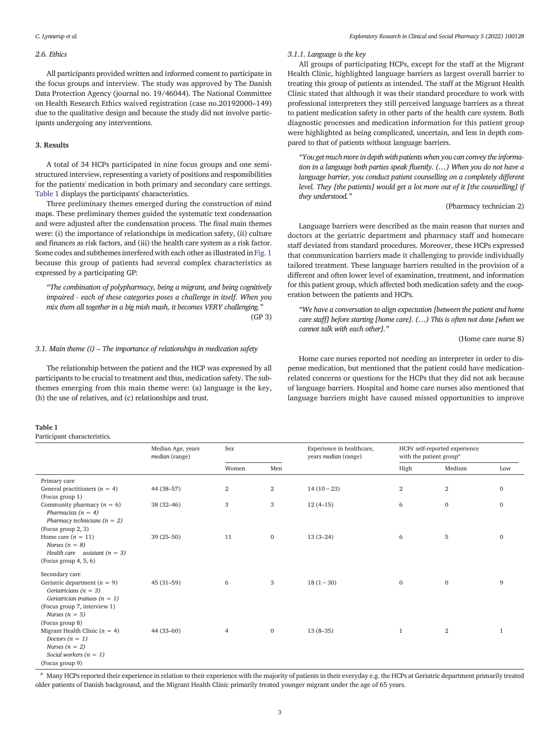# <span id="page-2-0"></span>2.6. Ethics

All participants provided written and informed consent to participate in the focus groups and interview. The study was approved by The Danish Data Protection Agency (journal no. 19/46044). The National Committee on Health Research Ethics waived registration (case no.20192000–149) due to the qualitative design and because the study did not involve participants undergoing any interventions.

#### 3. Results

A total of 34 HCPs participated in nine focus groups and one semistructured interview, representing a variety of positions and responsibilities for the patients' medication in both primary and secondary care settings. Table 1 displays the participants' characteristics.

Three preliminary themes emerged during the construction of mind maps. These preliminary themes guided the systematic text condensation and were adjusted after the condensation process. The final main themes were: (i) the importance of relationships in medication safety, (ii) culture and finances as risk factors, and (iii) the health care system as a risk factor. Some codes and subthemes interfered with each other as illustrated in [Fig. 1](#page-3-0) because this group of patients had several complex characteristics as expressed by a participating GP:

"The combination of polypharmacy, being a migrant, and being cognitively impaired - each of these categories poses a challenge in itself. When you mix them all together in a big mish mash, it becomes VERY challenging." (GP 3)

# 3.1. Main theme  $(i)$  – The importance of relationships in medication safety

The relationship between the patient and the HCP was expressed by all participants to be crucial to treatment and thus, medication safety. The subthemes emerging from this main theme were: (a) language is the key, (b) the use of relatives, and (c) relationships and trust.

#### Table 1

Participant characteristics.

#### 3.1.1. Language is the key

All groups of participating HCPs, except for the staff at the Migrant Health Clinic, highlighted language barriers as largest overall barrier to treating this group of patients as intended. The staff at the Migrant Health Clinic stated that although it was their standard procedure to work with professional interpreters they still perceived language barriers as a threat to patient medication safety in other parts of the health care system. Both diagnostic processes and medication information for this patient group were highlighted as being complicated, uncertain, and less in depth compared to that of patients without language barriers.

"You get much more in depth with patients when you can convey the information in a language both parties speak fluently. (…) When you do not have a language barrier, you conduct patient counselling on a completely different level. They [the patients] would get a lot more out of it [the counselling] if they understood."

(Pharmacy technician 2)

Language barriers were described as the main reason that nurses and doctors at the geriatric department and pharmacy staff and homecare staff deviated from standard procedures. Moreover, these HCPs expressed that communication barriers made it challenging to provide individually tailored treatment. These language barriers resulted in the provision of a different and often lower level of examination, treatment, and information for this patient group, which affected both medication safety and the cooperation between the patients and HCPs.

"We have a conversation to align expectation [between the patient and home care staff] before starting [home care]. (…) This is often not done [when we cannot talk with each other]."

# (Home care nurse 8)

Home care nurses reported not needing an interpreter in order to dispense medication, but mentioned that the patient could have medicationrelated concerns or questions for the HCPs that they did not ask because of language barriers. Hospital and home care nurses also mentioned that language barriers might have caused missed opportunities to improve

| $\overline{ }$                    |                                     |                |              |                                                          |                                                                       |                |              |
|-----------------------------------|-------------------------------------|----------------|--------------|----------------------------------------------------------|-----------------------------------------------------------------------|----------------|--------------|
|                                   | Median Age, years<br>median (range) | Sex            |              | Experience in healthcare,<br>years <i>median</i> (range) | HCPs' self-reported experience<br>with the patient group <sup>a</sup> |                |              |
|                                   |                                     | Women          | Men          |                                                          | High                                                                  | Medium         | Low          |
| Primary care                      |                                     |                |              |                                                          |                                                                       |                |              |
| General practitioners ( $n = 4$ ) | 44 (38-57)                          | $\mathbf{2}$   | $\mathbf{2}$ | $14(10-23)$                                              | $\overline{2}$                                                        | $\overline{2}$ | $\mathbf{0}$ |
| (Focus group 1)                   |                                     |                |              |                                                          |                                                                       |                |              |
| Community pharmacy $(n = 6)$      | $38(32-46)$                         | 3              | 3            | $12(4-15)$                                               | 6                                                                     | $\mathbf 0$    | $\mathbf{0}$ |
| Pharmacists $(n = 4)$             |                                     |                |              |                                                          |                                                                       |                |              |
| Pharmacy technicians $(n = 2)$    |                                     |                |              |                                                          |                                                                       |                |              |
| (Focus group 2, 3)                |                                     |                |              |                                                          |                                                                       |                |              |
| Home care $(n = 11)$              | $39(25 - 50)$                       | 11             | $\mathbf 0$  | $13(3-24)$                                               | 6                                                                     | 5              | $\mathbf{0}$ |
| Nurses $(n = 8)$                  |                                     |                |              |                                                          |                                                                       |                |              |
| Health care assistant $(n = 3)$   |                                     |                |              |                                                          |                                                                       |                |              |
| (Focus group $4, 5, 6$ )          |                                     |                |              |                                                          |                                                                       |                |              |
| Secondary care                    |                                     |                |              |                                                          |                                                                       |                |              |
| Geriatric department $(n = 9)$    | $45(31-59)$                         | 6              | 3            | $18(1-30)$                                               | $\mathbf{0}$                                                          | $\mathbf{0}$   | 9            |
| Geriatricians ( $n = 3$ )         |                                     |                |              |                                                          |                                                                       |                |              |
| Geriatrician trainees ( $n = 1$ ) |                                     |                |              |                                                          |                                                                       |                |              |
| (Focus group 7, interview 1)      |                                     |                |              |                                                          |                                                                       |                |              |
| Nurses $(n = 5)$                  |                                     |                |              |                                                          |                                                                       |                |              |
| (Focus group 8)                   |                                     |                |              |                                                          |                                                                       |                |              |
| Migrant Health Clinic $(n = 4)$   | 44 (33-60)                          | $\overline{4}$ | $\mathbf 0$  | $13(8-35)$                                               | $\mathbf{1}$                                                          | $\overline{2}$ | 1            |
| Doctors $(n = 1)$                 |                                     |                |              |                                                          |                                                                       |                |              |
| Nurses $(n = 2)$                  |                                     |                |              |                                                          |                                                                       |                |              |
| Social workers $(n = 1)$          |                                     |                |              |                                                          |                                                                       |                |              |
| (Focus group 9)                   |                                     |                |              |                                                          |                                                                       |                |              |

<sup>a</sup> Many HCPs reported their experience in relation to their experience with the majority of patients in their everyday e.g. the HCPs at Geriatric department primarily treated older patients of Danish background, and the Migrant Health Clinic primarily treated younger migrant under the age of 65 years.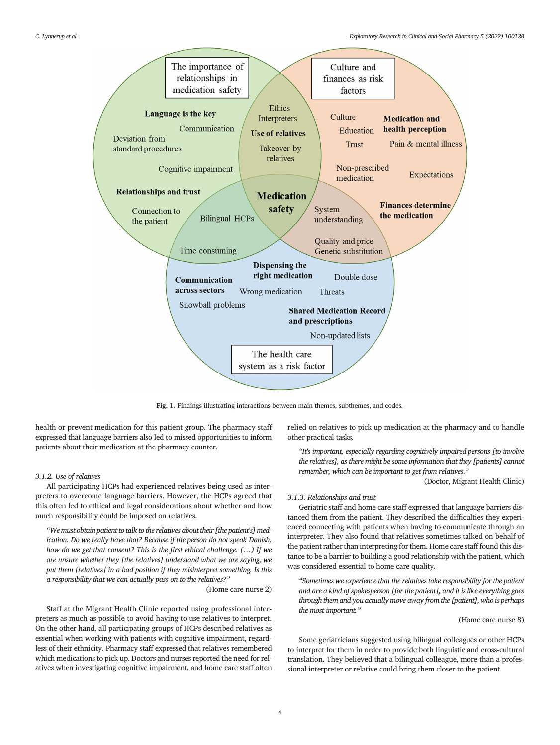<span id="page-3-0"></span>

Fig. 1. Findings illustrating interactions between main themes, subthemes, and codes.

health or prevent medication for this patient group. The pharmacy staff expressed that language barriers also led to missed opportunities to inform patients about their medication at the pharmacy counter.

# 3.1.2. Use of relatives

All participating HCPs had experienced relatives being used as interpreters to overcome language barriers. However, the HCPs agreed that this often led to ethical and legal considerations about whether and how much responsibility could be imposed on relatives.

"We must obtain patient to talk to the relatives about their [the patient's] medication. Do we really have that? Because if the person do not speak Danish, how do we get that consent? This is the first ethical challenge. (…) If we are unsure whether they [the relatives] understand what we are saying, we put them [relatives] in a bad position if they misinterpret something. Is this a responsibility that we can actually pass on to the relatives?"

(Home care nurse 2)

Staff at the Migrant Health Clinic reported using professional interpreters as much as possible to avoid having to use relatives to interpret. On the other hand, all participating groups of HCPs described relatives as essential when working with patients with cognitive impairment, regardless of their ethnicity. Pharmacy staff expressed that relatives remembered which medications to pick up. Doctors and nurses reported the need for relatives when investigating cognitive impairment, and home care staff often relied on relatives to pick up medication at the pharmacy and to handle other practical tasks.

"It's important, especially regarding cognitively impaired persons [to involve the relatives], as there might be some information that they [patients] cannot remember, which can be important to get from relatives."

(Doctor, Migrant Health Clinic)

#### 3.1.3. Relationships and trust

Geriatric staff and home care staff expressed that language barriers distanced them from the patient. They described the difficulties they experienced connecting with patients when having to communicate through an interpreter. They also found that relatives sometimes talked on behalf of the patient rather than interpreting for them. Home care staff found this distance to be a barrier to building a good relationship with the patient, which was considered essential to home care quality.

"Sometimes we experience that the relatives take responsibility for the patient and are a kind of spokesperson [for the patient], and it is like everything goes through them and you actually move away from the [patient], who is perhaps the most important."

#### (Home care nurse 8)

Some geriatricians suggested using bilingual colleagues or other HCPs to interpret for them in order to provide both linguistic and cross-cultural translation. They believed that a bilingual colleague, more than a professional interpreter or relative could bring them closer to the patient.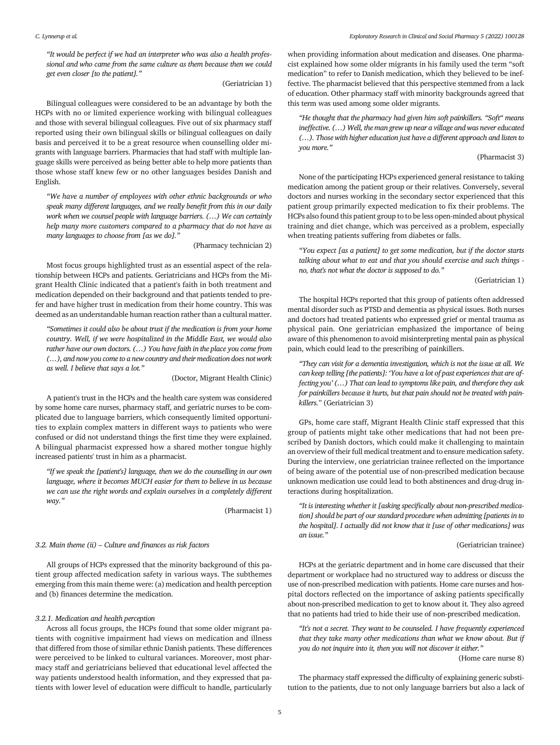"It would be perfect if we had an interpreter who was also a health professional and who came from the same culture as them because then we could get even closer [to the patient]."

# (Geriatrician 1)

Bilingual colleagues were considered to be an advantage by both the HCPs with no or limited experience working with bilingual colleagues and those with several bilingual colleagues. Five out of six pharmacy staff reported using their own bilingual skills or bilingual colleagues on daily basis and perceived it to be a great resource when counselling older migrants with language barriers. Pharmacies that had staff with multiple language skills were perceived as being better able to help more patients than those whose staff knew few or no other languages besides Danish and English.

"We have a number of employees with other ethnic backgrounds or who speak many different languages, and we really benefit from this in our daily work when we counsel people with language barriers. (…) We can certainly help many more customers compared to a pharmacy that do not have as many languages to choose from [as we do]."

(Pharmacy technician 2)

Most focus groups highlighted trust as an essential aspect of the relationship between HCPs and patients. Geriatricians and HCPs from the Migrant Health Clinic indicated that a patient's faith in both treatment and medication depended on their background and that patients tended to prefer and have higher trust in medication from their home country. This was deemed as an understandable human reaction rather than a cultural matter.

"Sometimes it could also be about trust if the medication is from your home country. Well, if we were hospitalized in the Middle East, we would also rather have our own doctors. (…) You have faith in the place you come from (…), and now you come to a new country and their medication does not work as well. I believe that says a lot."

(Doctor, Migrant Health Clinic)

A patient's trust in the HCPs and the health care system was considered by some home care nurses, pharmacy staff, and geriatric nurses to be complicated due to language barriers, which consequently limited opportunities to explain complex matters in different ways to patients who were confused or did not understand things the first time they were explained. A bilingual pharmacist expressed how a shared mother tongue highly increased patients' trust in him as a pharmacist.

"If we speak the [patient's] language, then we do the counselling in our own language, where it becomes MUCH easier for them to believe in us because we can use the right words and explain ourselves in a completely different way."

(Pharmacist 1)

# 3.2. Main theme (ii) – Culture and finances as risk factors

All groups of HCPs expressed that the minority background of this patient group affected medication safety in various ways. The subthemes emerging from this main theme were: (a) medication and health perception and (b) finances determine the medication.

# 3.2.1. Medication and health perception

Across all focus groups, the HCPs found that some older migrant patients with cognitive impairment had views on medication and illness that differed from those of similar ethnic Danish patients. These differences were perceived to be linked to cultural variances. Moreover, most pharmacy staff and geriatricians believed that educational level affected the way patients understood health information, and they expressed that patients with lower level of education were difficult to handle, particularly when providing information about medication and diseases. One pharmacist explained how some older migrants in his family used the term "soft medication" to refer to Danish medication, which they believed to be ineffective. The pharmacist believed that this perspective stemmed from a lack of education. Other pharmacy staff with minority backgrounds agreed that this term was used among some older migrants.

"He thought that the pharmacy had given him soft painkillers. "Soft" means ineffective. (…) Well, the man grew up near a village and was never educated (…). Those with higher education just have a different approach and listen to you more."

# (Pharmacist 3)

None of the participating HCPs experienced general resistance to taking medication among the patient group or their relatives. Conversely, several doctors and nurses working in the secondary sector experienced that this patient group primarily expected medication to fix their problems. The HCPs also found this patient group to to be less open-minded about physical training and diet change, which was perceived as a problem, especially when treating patients suffering from diabetes or falls.

"You expect [as a patient] to get some medication, but if the doctor starts talking about what to eat and that you should exercise and such things no, that's not what the doctor is supposed to do."

(Geriatrician 1)

The hospital HCPs reported that this group of patients often addressed mental disorder such as PTSD and dementia as physical issues. Both nurses and doctors had treated patients who expressed grief or mental trauma as physical pain. One geriatrician emphasized the importance of being aware of this phenomenon to avoid misinterpreting mental pain as physical pain, which could lead to the prescribing of painkillers.

"They can visit for a dementia investigation, which is not the issue at all. We can keep telling [the patients]: 'You have a lot of past experiences that are affecting you' (…) That can lead to symptoms like pain, and therefore they ask for painkillers because it hurts, but that pain should not be treated with painkillers." (Geriatrician 3)

GPs, home care staff, Migrant Health Clinic staff expressed that this group of patients might take other medications that had not been prescribed by Danish doctors, which could make it challenging to maintain an overview of their full medical treatment and to ensure medication safety. During the interview, one geriatrician trainee reflected on the importance of being aware of the potential use of non-prescribed medication because unknown medication use could lead to both abstinences and drug-drug interactions during hospitalization.

"It is interesting whether it [asking specifically about non-prescribed medication] should be part of our standard procedure when admitting [patients in to the hospital]. I actually did not know that it [use of other medications] was an issue."

#### (Geriatrician trainee)

HCPs at the geriatric department and in home care discussed that their department or workplace had no structured way to address or discuss the use of non-prescribed medication with patients. Home care nurses and hospital doctors reflected on the importance of asking patients specifically about non-prescribed medication to get to know about it. They also agreed that no patients had tried to hide their use of non-prescribed medication.

"It's not a secret. They want to be counseled. I have frequently experienced that they take many other medications than what we know about. But if you do not inquire into it, then you will not discover it either."

(Home care nurse 8)

The pharmacy staff expressed the difficulty of explaining generic substitution to the patients, due to not only language barriers but also a lack of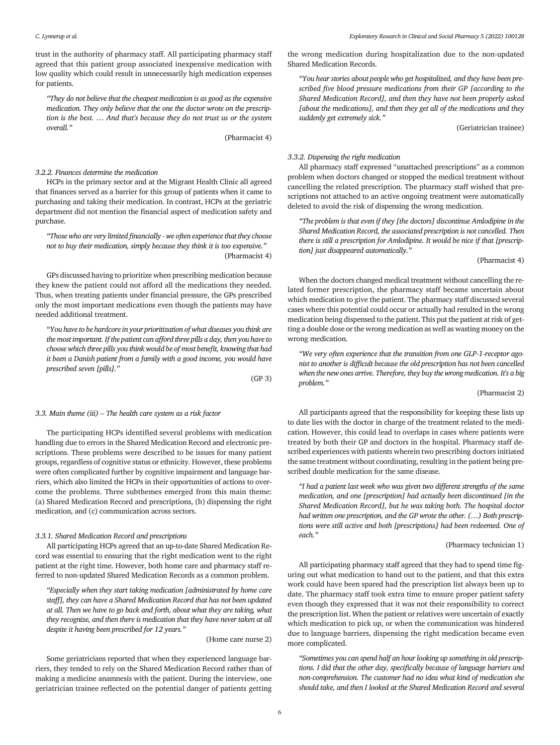trust in the authority of pharmacy staff. All participating pharmacy staff agreed that this patient group associated inexpensive medication with low quality which could result in unnecessarily high medication expenses for patients.

"They do not believe that the cheapest medication is as good as the expensive medication. They only believe that the one the doctor wrote on the prescription is the best. … And that's because they do not trust us or the system overall."

(Pharmacist 4)

# 3.2.2. Finances determine the medication

HCPs in the primary sector and at the Migrant Health Clinic all agreed that finances served as a barrier for this group of patients when it came to purchasing and taking their medication. In contrast, HCPs at the geriatric department did not mention the financial aspect of medication safety and purchase.

"Those who are very limited financially - we often experience that they choose not to buy their medication, simply because they think it is too expensive." (Pharmacist 4)

GPs discussed having to prioritize when prescribing medication because they knew the patient could not afford all the medications they needed. Thus, when treating patients under financial pressure, the GPs prescribed only the most important medications even though the patients may have needed additional treatment.

"You have to be hardcore in your prioritization of what diseases you think are the most important. If the patient can afford three pills a day, then you have to choose which three pills you think would be of most benefit, knowing that had it been a Danish patient from a family with a good income, you would have prescribed seven [pills]."

(GP 3)

# 3.3. Main theme (iii) – The health care system as a risk factor

The participating HCPs identified several problems with medication handling due to errors in the Shared Medication Record and electronic prescriptions. These problems were described to be issues for many patient groups, regardless of cognitive status or ethnicity. However, these problems were often complicated further by cognitive impairment and language barriers, which also limited the HCPs in their opportunities of actions to overcome the problems. Three subthemes emerged from this main theme: (a) Shared Medication Record and prescriptions, (b) dispensing the right medication, and (c) communication across sectors.

#### 3.3.1. Shared Medication Record and prescriptions

All participating HCPs agreed that an up-to-date Shared Medication Record was essential to ensuring that the right medication went to the right patient at the right time. However, both home care and pharmacy staff referred to non-updated Shared Medication Records as a common problem.

"Especially when they start taking medication [administrated by home care staff], they can have a Shared Medication Record that has not been updated at all. Then we have to go back and forth, about what they are taking, what they recognize, and then there is medication that they have never taken at all despite it having been prescribed for 12 years."

(Home care nurse 2)

Some geriatricians reported that when they experienced language barriers, they tended to rely on the Shared Medication Record rather than of making a medicine anamnesis with the patient. During the interview, one geriatrician trainee reflected on the potential danger of patients getting the wrong medication during hospitalization due to the non-updated Shared Medication Records.

"You hear stories about people who get hospitalized, and they have been prescribed five blood pressure medications from their GP [according to the Shared Medication Record], and then they have not been properly asked [about the medications], and then they get all of the medications and they suddenly get extremely sick."

(Geriatrician trainee)

# 3.3.2. Dispensing the right medication

All pharmacy staff expressed "unattached prescriptions" as a common problem when doctors changed or stopped the medical treatment without cancelling the related prescription. The pharmacy staff wished that prescriptions not attached to an active ongoing treatment were automatically deleted to avoid the risk of dispensing the wrong medication.

"The problem is that even if they [the doctors] discontinue Amlodipine in the Shared Medication Record, the associated prescription is not cancelled. Then there is still a prescription for Amlodipine. It would be nice if that [prescription] just disappeared automatically."

# (Pharmacist 4)

When the doctors changed medical treatment without cancelling the related former prescription, the pharmacy staff became uncertain about which medication to give the patient. The pharmacy staff discussed several cases where this potential could occur or actually had resulted in the wrong medication being dispensed to the patient. This put the patient at risk of getting a double dose or the wrong medication as well as wasting money on the wrong medication.

"We very often experience that the transition from one GLP-1-receptor agonist to another is difficult because the old prescription has not been cancelled when the new ones arrive. Therefore, they buy the wrong medication. It's a big problem."

# (Pharmacist 2)

All participants agreed that the responsibility for keeping these lists up to date lies with the doctor in charge of the treatment related to the medication. However, this could lead to overlaps in cases where patients were treated by both their GP and doctors in the hospital. Pharmacy staff described experiences with patients wherein two prescribing doctors initiated the same treatment without coordinating, resulting in the patient being prescribed double medication for the same disease.

"I had a patient last week who was given two different strengths of the same medication, and one [prescription] had actually been discontinued [in the Shared Medication Record], but he was taking both. The hospital doctor had written one prescription, and the GP wrote the other. (…) Both prescriptions were still active and both [prescriptions] had been redeemed. One of each."

# (Pharmacy technician 1)

All participating pharmacy staff agreed that they had to spend time figuring out what medication to hand out to the patient, and that this extra work could have been spared had the prescription list always been up to date. The pharmacy staff took extra time to ensure proper patient safety even though they expressed that it was not their responsibility to correct the prescription list. When the patient or relatives were uncertain of exactly which medication to pick up, or when the communication was hindered due to language barriers, dispensing the right medication became even more complicated.

"Sometimes you can spend half an hour looking up something in old prescriptions. I did that the other day, specifically because of language barriers and non-comprehension. The customer had no idea what kind of medication she should take, and then I looked at the Shared Medication Record and several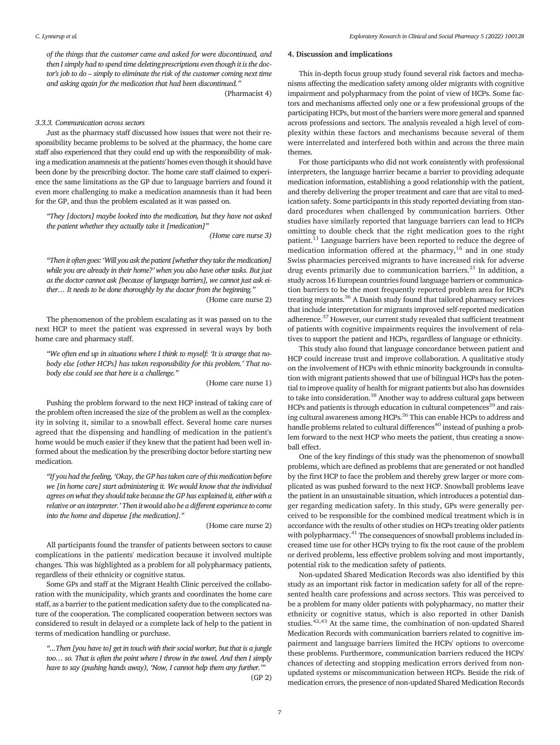of the things that the customer came and asked for were discontinued, and then I simply had to spend time deleting prescriptions even though it is the doctor's job to do – simply to eliminate the risk of the customer coming next time and asking again for the medication that had been discontinued."

(Pharmacist 4)

#### 3.3.3. Communication across sectors

Just as the pharmacy staff discussed how issues that were not their responsibility became problems to be solved at the pharmacy, the home care staff also experienced that they could end up with the responsibility of making a medication anamnesis at the patients' homes even though it should have been done by the prescribing doctor. The home care staff claimed to experience the same limitations as the GP due to language barriers and found it even more challenging to make a medication anamnesis than it had been for the GP, and thus the problem escalated as it was passed on.

"They [doctors] maybe looked into the medication, but they have not asked the patient whether they actually take it [medication]"

(Home care nurse 3)

"Then it often goes: 'Will you ask the patient [whether they take the medication] while you are already in their home?' when you also have other tasks. But just as the doctor cannot ask [because of language barriers], we cannot just ask either… It needs to be done thoroughly by the doctor from the beginning."

(Home care nurse 2)

The phenomenon of the problem escalating as it was passed on to the next HCP to meet the patient was expressed in several ways by both home care and pharmacy staff.

"We often end up in situations where I think to myself: 'It is strange that nobody else [other HCPs] has taken responsibility for this problem.' That nobody else could see that here is a challenge."

(Home care nurse 1)

Pushing the problem forward to the next HCP instead of taking care of the problem often increased the size of the problem as well as the complexity in solving it, similar to a snowball effect. Several home care nurses agreed that the dispensing and handling of medication in the patient's home would be much easier if they knew that the patient had been well informed about the medication by the prescribing doctor before starting new medication.

"If you had the feeling, 'Okay, the GP has taken care of this medication before we [in home care] start administering it. We would know that the individual agrees on what they should take because the GP has explained it, either with a relative or an interpreter.' Then it would also be a different experience to come into the home and dispense [the medication]."

(Home care nurse 2)

All participants found the transfer of patients between sectors to cause complications in the patients' medication because it involved multiple changes. This was highlighted as a problem for all polypharmacy patients, regardless of their ethnicity or cognitive status.

Some GPs and staff at the Migrant Health Clinic perceived the collaboration with the municipality, which grants and coordinates the home care staff, as a barrier to the patient medication safety due to the complicated nature of the cooperation. The complicated cooperation between sectors was considered to result in delayed or a complete lack of help to the patient in terms of medication handling or purchase.

"...Then [you have to] get in touch with their social worker, but that is a jungle too… so. That is often the point where I throw in the towel. And then I simply have to say (pushing hands away), 'Now, I cannot help them any further.'" (GP 2)

# 4. Discussion and implications

This in-depth focus group study found several risk factors and mechanisms affecting the medication safety among older migrants with cognitive impairment and polypharmacy from the point of view of HCPs. Some factors and mechanisms affected only one or a few professional groups of the participating HCPs, but most of the barriers were more general and spanned across professions and sectors. The analysis revealed a high level of complexity within these factors and mechanisms because several of them were interrelated and interfered both within and across the three main themes.

For those participants who did not work consistently with professional interpreters, the language barrier became a barrier to providing adequate medication information, establishing a good relationship with the patient, and thereby delivering the proper treatment and care that are vital to medication safety. Some participants in this study reported deviating from standard procedures when challenged by communication barriers. Other studies have similarly reported that language barriers can lead to HCPs omitting to double check that the right medication goes to the right patient.[11](#page-8-0) Language barriers have been reported to reduce the degree of medication information offered at the pharmacy, $16$  and in one study Swiss pharmacies perceived migrants to have increased risk for adverse drug events primarily due to communication barriers.<sup>[21](#page-8-0)</sup> In addition, a study across 16 European countries found language barriers or communication barriers to be the most frequently reported problem area for HCPs treating migrants.[36](#page-8-0) A Danish study found that tailored pharmacy services that include interpretation for migrants improved self-reported medication adherence.<sup>37</sup> However, our current study revealed that sufficient treatment of patients with cognitive impairments requires the involvement of relatives to support the patient and HCPs, regardless of language or ethnicity.

This study also found that language concordance between patient and HCP could increase trust and improve collaboration. A qualitative study on the involvement of HCPs with ethnic minority backgrounds in consultation with migrant patients showed that use of bilingual HCPs has the potential to improve quality of health for migrant patients but also has downsides to take into consideration.<sup>38</sup> Another way to address cultural gaps between HCPs and patients is through education in cultural competences<sup>39</sup> and raising cultural awareness among HCPs.[36](#page-8-0) This can enable HCPs to address and handle problems related to cultural differences<sup>[40](#page-8-0)</sup> instead of pushing a problem forward to the next HCP who meets the patient, thus creating a snowball effect.

One of the key findings of this study was the phenomenon of snowball problems, which are defined as problems that are generated or not handled by the first HCP to face the problem and thereby grew larger or more complicated as was pushed forward to the next HCP. Snowball problems leave the patient in an unsustainable situation, which introduces a potential danger regarding medication safety. In this study, GPs were generally perceived to be responsible for the combined medical treatment which is in accordance with the results of other studies on HCPs treating older patients with polypharmacy.<sup>[41](#page-8-0)</sup> The consequences of snowball problems included increased time use for other HCPs trying to fix the root cause of the problem or derived problems, less effective problem solving and most importantly, potential risk to the medication safety of patients.

Non-updated Shared Medication Records was also identified by this study as an important risk factor in medication safety for all of the represented health care professions and across sectors. This was perceived to be a problem for many older patients with polypharmacy, no matter their ethnicity or cognitive status, which is also reported in other Danish studies. $42,43$  At the same time, the combination of non-updated Shared Medication Records with communication barriers related to cognitive impairment and language barriers limited the HCPs' options to overcome these problems. Furthermore, communication barriers reduced the HCPs' chances of detecting and stopping medication errors derived from nonupdated systems or miscommunication between HCPs. Beside the risk of medication errors, the presence of non-updated Shared Medication Records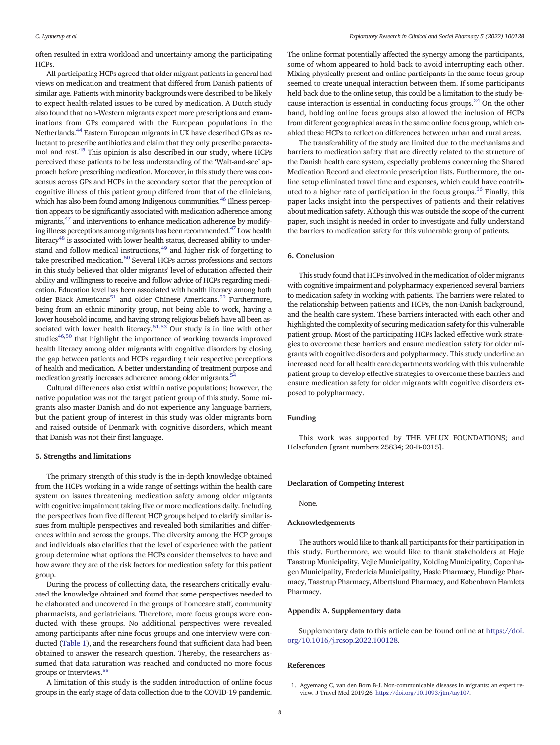<span id="page-7-0"></span>often resulted in extra workload and uncertainty among the participating **HCPs** 

All participating HCPs agreed that older migrant patients in general had views on medication and treatment that differed from Danish patients of similar age. Patients with minority backgrounds were described to be likely to expect health-related issues to be cured by medication. A Dutch study also found that non-Western migrants expect more prescriptions and examinations from GPs compared with the European populations in the Netherlands.[44](#page-8-0) Eastern European migrants in UK have described GPs as reluctant to prescribe antibiotics and claim that they only prescribe paracetamol and rest.[45](#page-8-0) This opinion is also described in our study, where HCPs perceived these patients to be less understanding of the 'Wait-and-see' approach before prescribing medication. Moreover, in this study there was consensus across GPs and HCPs in the secondary sector that the perception of cognitive illness of this patient group differed from that of the clinicians, which has also been found among Indigenous communities.<sup>46</sup> Illness perception appears to be significantly associated with medication adherence among migrants,<sup>[47](#page-8-0)</sup> and interventions to enhance medication adherence by modify-ing illness perceptions among migrants has been recommended.<sup>[47](#page-8-0)</sup> Low health literacy<sup>48</sup> is associated with lower health status, decreased ability to understand and follow medical instructions,<sup>49</sup> and higher risk of forgetting to take prescribed medication.<sup>[50](#page-8-0)</sup> Several HCPs across professions and sectors in this study believed that older migrants' level of education affected their ability and willingness to receive and follow advice of HCPs regarding medication. Education level has been associated with health literacy among both older Black Americans<sup>51</sup> and older Chinese Americans.<sup>[52](#page-8-0)</sup> Furthermore, being from an ethnic minority group, not being able to work, having a lower household income, and having strong religious beliefs have all been as-sociated with lower health literacy.<sup>[51](#page-8-0),[53](#page-8-0)</sup> Our study is in line with other studies<sup>46,[50](#page-8-0)</sup> that highlight the importance of working towards improved health literacy among older migrants with cognitive disorders by closing the gap between patients and HCPs regarding their respective perceptions of health and medication. A better understanding of treatment purpose and medication greatly increases adherence among older migrants.<sup>[54](#page-8-0)</sup>

Cultural differences also exist within native populations; however, the native population was not the target patient group of this study. Some migrants also master Danish and do not experience any language barriers, but the patient group of interest in this study was older migrants born and raised outside of Denmark with cognitive disorders, which meant that Danish was not their first language.

# 5. Strengths and limitations

The primary strength of this study is the in-depth knowledge obtained from the HCPs working in a wide range of settings within the health care system on issues threatening medication safety among older migrants with cognitive impairment taking five or more medications daily. Including the perspectives from five different HCP groups helped to clarify similar issues from multiple perspectives and revealed both similarities and differences within and across the groups. The diversity among the HCP groups and individuals also clarifies that the level of experience with the patient group determine what options the HCPs consider themselves to have and how aware they are of the risk factors for medication safety for this patient group.

During the process of collecting data, the researchers critically evaluated the knowledge obtained and found that some perspectives needed to be elaborated and uncovered in the groups of homecare staff, community pharmacists, and geriatricians. Therefore, more focus groups were conducted with these groups. No additional perspectives were revealed among participants after nine focus groups and one interview were conducted [\(Table 1\)](#page-2-0), and the researchers found that sufficient data had been obtained to answer the research question. Thereby, the researchers assumed that data saturation was reached and conducted no more focus groups or interviews[.55](#page-8-0)

A limitation of this study is the sudden introduction of online focus groups in the early stage of data collection due to the COVID-19 pandemic.

The online format potentially affected the synergy among the participants, some of whom appeared to hold back to avoid interrupting each other. Mixing physically present and online participants in the same focus group seemed to create unequal interaction between them. If some participants held back due to the online setup, this could be a limitation to the study because interaction is essential in conducting focus groups. $^{24}$  $^{24}$  $^{24}$  On the other hand, holding online focus groups also allowed the inclusion of HCPs from different geographical areas in the same online focus group, which enabled these HCPs to reflect on differences between urban and rural areas.

The transferability of the study are limited due to the mechanisms and barriers to medication safety that are directly related to the structure of the Danish health care system, especially problems concerning the Shared Medication Record and electronic prescription lists. Furthermore, the online setup eliminated travel time and expenses, which could have contrib-uted to a higher rate of participation in the focus groups.<sup>[56](#page-8-0)</sup> Finally, this paper lacks insight into the perspectives of patients and their relatives about medication safety. Although this was outside the scope of the current paper, such insight is needed in order to investigate and fully understand the barriers to medication safety for this vulnerable group of patients.

# 6. Conclusion

This study found that HCPs involved in the medication of older migrants with cognitive impairment and polypharmacy experienced several barriers to medication safety in working with patients. The barriers were related to the relationship between patients and HCPs, the non-Danish background, and the health care system. These barriers interacted with each other and highlighted the complexity of securing medication safety for this vulnerable patient group. Most of the participating HCPs lacked effective work strategies to overcome these barriers and ensure medication safety for older migrants with cognitive disorders and polypharmacy. This study underline an increased need for all health care departments working with this vulnerable patient group to develop effective strategies to overcome these barriers and ensure medication safety for older migrants with cognitive disorders exposed to polypharmacy.

#### Funding

This work was supported by THE VELUX FOUNDATIONS; and Helsefonden [grant numbers 25834; 20-B-0315].

#### Declaration of Competing Interest

None.

# Acknowledgements

The authors would like to thank all participants for their participation in this study. Furthermore, we would like to thank stakeholders at Høje Taastrup Municipality, Vejle Municipality, Kolding Municipality, Copenhagen Municipality, Fredericia Municipality, Hasle Pharmacy, Hundige Pharmacy, Taastrup Pharmacy, Albertslund Pharmacy, and København Hamlets Pharmacy.

# Appendix A. Supplementary data

Supplementary data to this article can be found online at [https://doi.](https://doi.org/10.1016/j.rcsop.2022.100128) [org/10.1016/j.rcsop.2022.100128](https://doi.org/10.1016/j.rcsop.2022.100128).

# References

<sup>1.</sup> Agyemang C, van den Born B-J. Non-communicable diseases in migrants: an expert review. J Travel Med 2019;26. [https://doi.org/10.1093/jtm/tay107.](https://doi.org/10.1093/jtm/tay107)